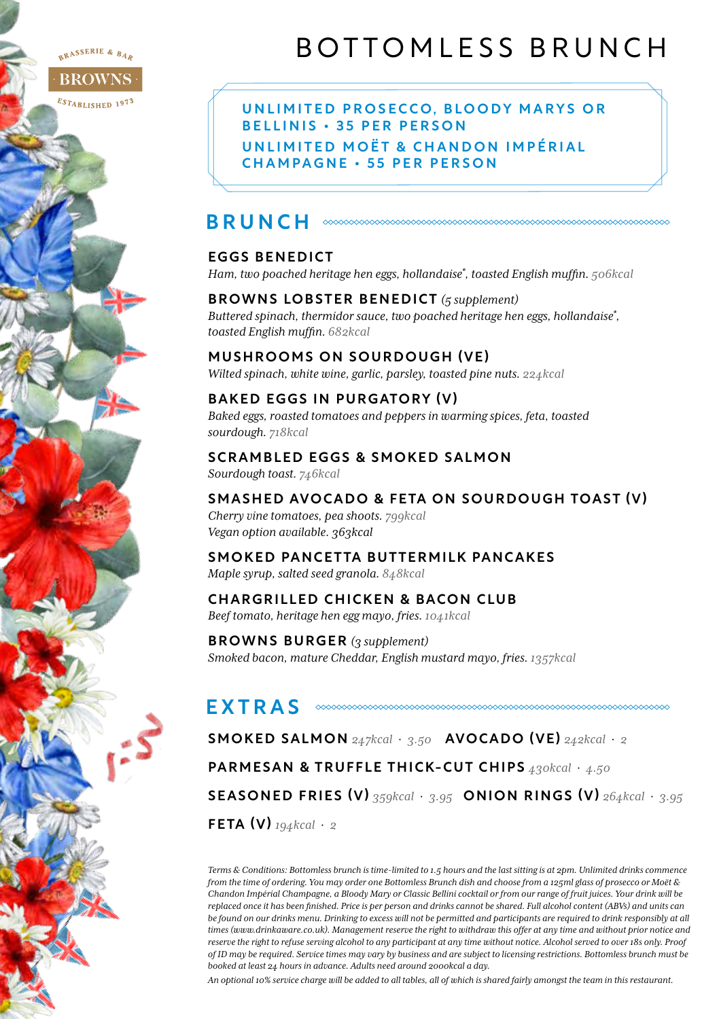#### RASSERIE & BAR

**BROWN**  $\mathit{Es}_{\mathit{TABLISHED}}$  1973

# BOTTOMLESS BRUNCH

UNLIMITED PROSECCO, BLOODY MARYS OR B E L L I N I S · 35 PER PERSON UNLIMITED MOËT & CHANDON IMPÉRIAL CHAMPAGNE • 55 PER PERSON

## BRUNCH

#### EGGS BENEDICT

*Ham, two poached heritage hen eggs, hollandaise\* , toasted English muffin. 506kcal*

BROWNS LOBSTER BENEDICT *(5 supplement) Buttered spinach, thermidor sauce, two poached heritage hen eggs, hollandaise\* , toasted English muffin. 682kcal*

#### MUSHROOMS ON SOURDOUGH (VE)

*Wilted spinach, white wine, garlic, parsley, toasted pine nuts. 224kcal*

#### BAKED EGGS IN PURGATORY (V)

*Baked eggs, roasted tomatoes and peppers in warming spices, feta, toasted sourdough. 718kcal*

#### SCRAMBLED EGGS & SMOKED SALMON

*Sourdough toast. 746kcal*

#### SMASHED AVOCADO & FETA ON SOURDOUGH TOAST (V)

*Cherry vine tomatoes, pea shoots. 799kcal Vegan option available. 363kcal*

## SMOKED PANCETTA BUTTERMILK PANCAKES

*Maple syrup, salted seed granola. 848kcal*

## CHARGRILLED CHICKEN & BACON CLUB

*Beef tomato, heritage hen egg mayo, fries. 1041kcal*

BROWNS BURGER *(3 supplement) Smoked bacon, mature Cheddar, English mustard mayo, fries. 1357kcal*

### EXTRAS

SMOKED SALMON *247kcal* · *3.50* AVOCADO (VE) *242kcal* · *2*

PARMESAN & TRUFFLE THICK-CUT CHIPS *430kcal* · *4.50*

SEASONED FRIES (V) *359kcal* · *3.95* ONION RINGS (V) *264kcal* · *3.95*

FETA (V) *194kcal* · *2*

*Terms & Conditions: Bottomless brunch is time-limited to 1.5 hours and the last sitting is at 2pm. Unlimited drinks commence from the time of ordering. You may order one Bottomless Brunch dish and choose from a 125ml glass of prosecco or Moët & Chandon Impérial Champagne, a Bloody Mary or Classic Bellini cocktail or from our range of fruit juices. Your drink will be replaced once it has been finished. Price is per person and drinks cannot be shared. Full alcohol content (ABVs) and units can be found on our drinks menu. Drinking to excess will not be permitted and participants are required to drink responsibly at all times (www.drinkaware.co.uk). Management reserve the right to withdraw this offer at any time and without prior notice and reserve the right to refuse serving alcohol to any participant at any time without notice. Alcohol served to over 18s only. Proof of ID may be required. Service times may vary by business and are subject to licensing restrictions. Bottomless brunch must be booked at least 24 hours in advance. Adults need around 2000kcal a day.* 

*An optional 10% service charge will be added to all tables, all of which is shared fairly amongst the team in this restaurant.*